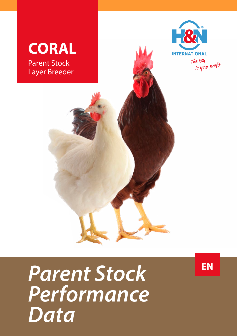

*Parent Stock Performance Data*

**EN**